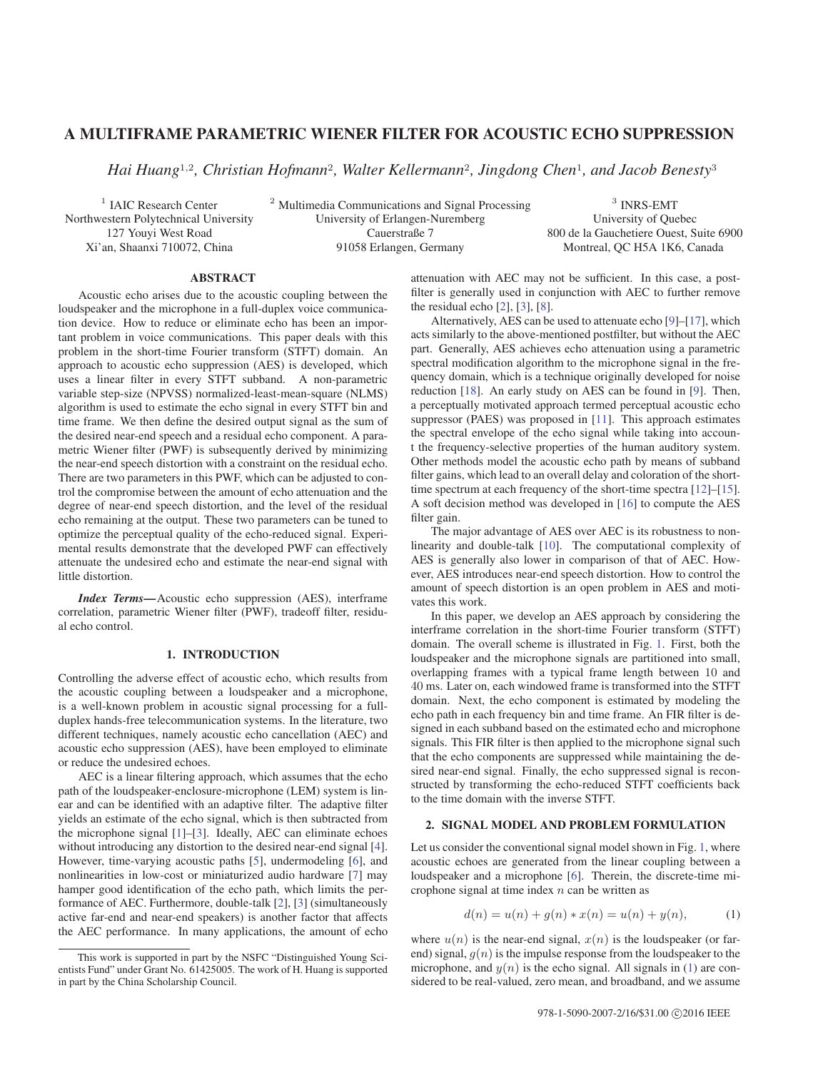# A MULTIFRAME PARAMETRIC WIENER FILTER FOR ACOUSTIC ECHO SUPPRESSION

*Hai Huang*1,2*, Christian Hofmann*2*, Walter Kellermann*2*, Jingdong Chen*1*, and Jacob Benesty*<sup>3</sup>

<sup>1</sup> IAIC Research Center <sup>2</sup> Multimedia Communications and Signal Processing <sup>3</sup> INRS-EMT<br>Northwestern Polytechnical University <sup>2</sup> Multimedia Communications and Signal Processing <sup>3</sup> INRS-EMT Northwestern Polytechnical University University of Erlangen-Nuremberg<br>
127 Youvi West Road Cauerstraße 7 127 Youyi West Road Cauerstraße 7 800 de la Gauchetiere Ouest, Suite 6900<br>
Xi'an, Shaanxi 710072, China 91058 Erlangen, Germany Montreal, QC H5A 1K6, Canada

Montreal, QC H5A 1K6, Canada

## ABSTRACT

Acoustic echo arises due to the acoustic coupling between the loudspeaker and the microphone in a full-duplex voice communication device. How to reduce or eliminate echo has been an important problem in voice communications. This paper deals with this problem in the short-time Fourier transform (STFT) domain. An approach to acoustic echo suppression (AES) is developed, which uses a linear filter in every STFT subband. A non-parametric variable step-size (NPVSS) normalized-least-mean-square (NLMS) algorithm is used to estimate the echo signal in every STFT bin and time frame. We then define the desired output signal as the sum of the desired near-end speech and a residual echo component. A parametric Wiener filter (PWF) is subsequently derived by minimizing the near-end speech distortion with a constraint on the residual echo. There are two parameters in this PWF, which can be adjusted to control the compromise between the amount of echo attenuation and the degree of near-end speech distortion, and the level of the residual echo remaining at the output. These two parameters can be tuned to optimize the perceptual quality of the echo-reduced signal. Experimental results demonstrate that the developed PWF can effectively attenuate the undesired echo and estimate the near-end signal with little distortion.

*Index Terms*—Acoustic echo suppression (AES), interframe correlation, parametric Wiener filter (PWF), tradeoff filter, residual echo control.

## 1. INTRODUCTION

Controlling the adverse effect of acoustic echo, which results from the acoustic coupling between a loudspeaker and a microphone, is a well-known problem in acoustic signal processing for a fullduplex hands-free telecommunication systems. In the literature, two different techniques, namely acoustic echo cancellation (AEC) and acoustic echo suppression (AES), have been employed to eliminate or reduce the undesired echoes.

AEC is a linear filtering approach, which assumes that the echo path of the loudspeaker-enclosure-microphone (LEM) system is linear and can be identified with an adaptive filter. The adaptive filter yields an estimate of the echo signal, which is then subtracted from the microphone signal [1]–[3]. Ideally, AEC can eliminate echoes without introducing any distortion to the desired near-end signal [4]. However, time-varying acoustic paths [5], undermodeling [6], and nonlinearities in low-cost or miniaturized audio hardware [7] may hamper good identification of the echo path, which limits the performance of AEC. Furthermore, double-talk [2], [3] (simultaneously active far-end and near-end speakers) is another factor that affects the AEC performance. In many applications, the amount of echo attenuation with AEC may not be sufficient. In this case, a postfilter is generally used in conjunction with AEC to further remove the residual echo  $[2]$ ,  $[3]$ ,  $[8]$ .

Alternatively, AES can be used to attenuate echo [9]–[17], which acts similarly to the above-mentioned postfilter, but without the AEC part. Generally, AES achieves echo attenuation using a parametric spectral modification algorithm to the microphone signal in the frequency domain, which is a technique originally developed for noise reduction [18]. An early study on AES can be found in [9]. Then, a perceptually motivated approach termed perceptual acoustic echo suppressor (PAES) was proposed in [11]. This approach estimates the spectral envelope of the echo signal while taking into account the frequency-selective properties of the human auditory system. Other methods model the acoustic echo path by means of subband filter gains, which lead to an overall delay and coloration of the shorttime spectrum at each frequency of the short-time spectra [12]–[15]. A soft decision method was developed in [16] to compute the AES filter gain.

The major advantage of AES over AEC is its robustness to nonlinearity and double-talk [10]. The computational complexity of AES is generally also lower in comparison of that of AEC. However, AES introduces near-end speech distortion. How to control the amount of speech distortion is an open problem in AES and motivates this work.

In this paper, we develop an AES approach by considering the interframe correlation in the short-time Fourier transform (STFT) domain. The overall scheme is illustrated in Fig. 1. First, both the loudspeaker and the microphone signals are partitioned into small, overlapping frames with a typical frame length between 10 and 40 ms. Later on, each windowed frame is transformed into the STFT domain. Next, the echo component is estimated by modeling the echo path in each frequency bin and time frame. An FIR filter is designed in each subband based on the estimated echo and microphone signals. This FIR filter is then applied to the microphone signal such that the echo components are suppressed while maintaining the desired near-end signal. Finally, the echo suppressed signal is reconstructed by transforming the echo-reduced STFT coefficients back to the time domain with the inverse STFT.

## 2. SIGNAL MODEL AND PROBLEM FORMULATION

Let us consider the conventional signal model shown in Fig. 1, where acoustic echoes are generated from the linear coupling between a loudspeaker and a microphone [6]. Therein, the discrete-time microphone signal at time index  $n$  can be written as

$$
d(n) = u(n) + g(n) * x(n) = u(n) + y(n),
$$
 (1)

where  $u(n)$  is the near-end signal,  $x(n)$  is the loudspeaker (or farend) signal,  $g(n)$  is the impulse response from the loudspeaker to the microphone, and  $y(n)$  is the echo signal. All signals in (1) are considered to be real-valued, zero mean, and broadband, and we assume

This work is supported in part by the NSFC "Distinguished Young Scientists Fund" under Grant No. 61425005. The work of H. Huang is supported in part by the China Scholarship Council.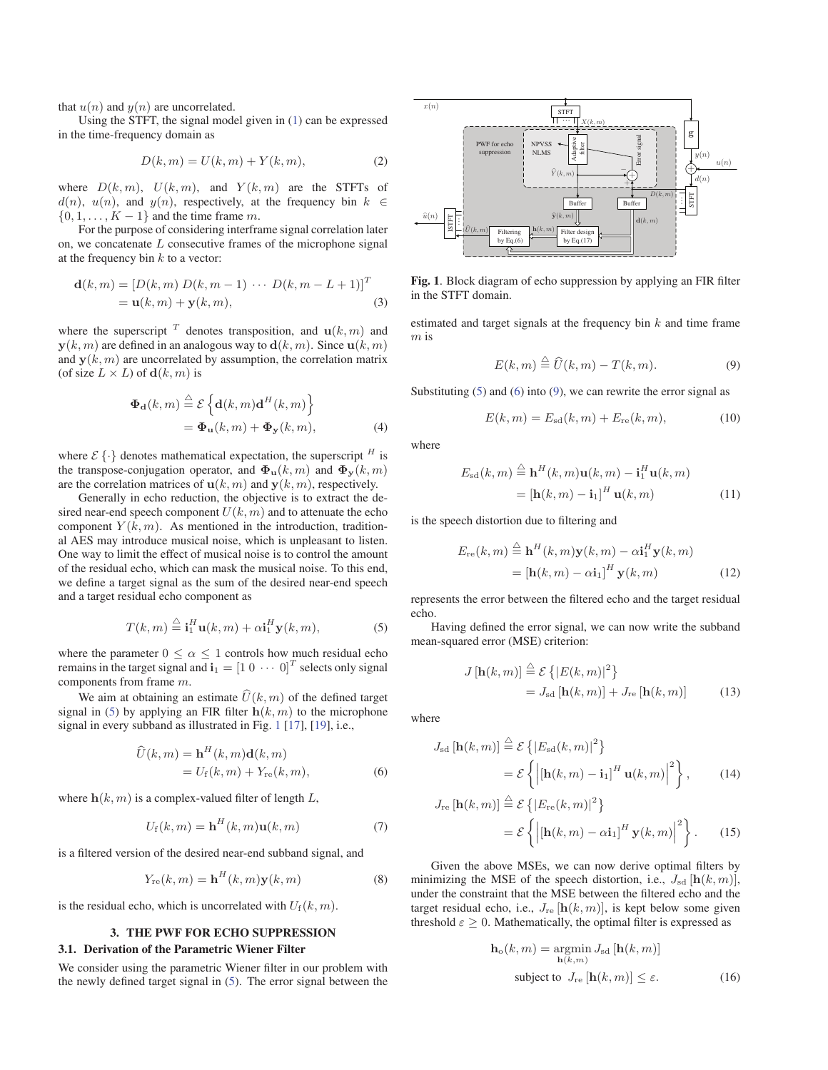that  $u(n)$  and  $y(n)$  are uncorrelated.

Using the STFT, the signal model given in (1) can be expressed in the time-frequency domain as

$$
D(k,m) = U(k,m) + Y(k,m),\tag{2}
$$

where  $D(k, m)$ ,  $U(k, m)$ , and  $Y(k, m)$  are the STFTs of  $d(n)$ ,  $u(n)$ , and  $y(n)$ , respectively, at the frequency bin  $k \in$  $d(n)$ ,  $u(n)$ , and  $y(n)$ , respectively, at the frequency bin k  $\{0, 1, \ldots, K - 1\}$  and the time frame m.

For the purpose of considering interframe signal correlation later on, we concatenate  $L$  consecutive frames of the microphone signal at the frequency bin  $k$  to a vector:

$$
\mathbf{d}(k, m) = [D(k, m) D(k, m - 1) \cdots D(k, m - L + 1)]^T
$$
  
=  $\mathbf{u}(k, m) + \mathbf{y}(k, m),$  (3)

where the superscript  $T$  denotes transposition, and  $\mathbf{u}(k,m)$  and  $\mathbf{y}(k,m)$  are defined in an analogous way to  $\mathbf{d}(k,m)$ . Since  $\mathbf{u}(k,m)$ and  $y(k, m)$  are uncorrelated by assumption, the correlation matrix (of size  $L \times L$ ) of  $\mathbf{d}(k,m)$  is

$$
\begin{aligned} \mathbf{\Phi}_{\mathbf{d}}(k,m) &\stackrel{\triangle}{=} \mathcal{E} \left\{ \mathbf{d}(k,m) \mathbf{d}^H(k,m) \right\} \\ &= \mathbf{\Phi}_{\mathbf{u}}(k,m) + \mathbf{\Phi}_{\mathbf{y}}(k,m), \end{aligned} \tag{4}
$$

where  $\mathcal{E}\{\cdot\}$  denotes mathematical expectation, the superscript  $^H$  is the transpose-conjugation operator, and  $\Phi_{\bf u}(k,m)$  and  $\Phi_{\bf v}(k,m)$ are the correlation matrices of  $\mathbf{u}(k,m)$  and  $\mathbf{y}(k,m)$ , respectively.

Generally in echo reduction, the objective is to extract the desired near-end speech component  $U(k, m)$  and to attenuate the echo component  $Y(k, m)$ . As mentioned in the introduction, traditional AES may introduce musical noise, which is unpleasant to listen. One way to limit the effect of musical noise is to control the amount of the residual echo, which can mask the musical noise. To this end, we define a target signal as the sum of the desired near-end speech and a target residual echo component as

$$
T(k,m) \stackrel{\triangle}{=} \mathbf{i}_1^H \mathbf{u}(k,m) + \alpha \mathbf{i}_1^H \mathbf{y}(k,m), \tag{5}
$$

where the parameter  $0 \leq \alpha \leq 1$  controls how much residual echo remains in the target signal and  $\mathbf{i}_1 = \begin{bmatrix} 1 & 0 & \cdots & 0 \end{bmatrix}^T$  selects only signal components from frame m.

We aim at obtaining an estimate  $\widehat{U}(k,m)$  of the defined target signal in (5) by applying an FIR filter  $h(k, m)$  to the microphone signal in every subband as illustrated in Fig. 1 [17], [19], i.e.,

$$
\widehat{U}(k,m) = \mathbf{h}^{H}(k,m)\mathbf{d}(k,m)
$$

$$
= U_{\rm f}(k,m) + Y_{\rm re}(k,m), \tag{6}
$$

where  $h(k, m)$  is a complex-valued filter of length  $L$ ,

$$
U_{\rm f}(k,m) = \mathbf{h}^H(k,m)\mathbf{u}(k,m) \tag{7}
$$

is a filtered version of the desired near-end subband signal, and

$$
Y_{\rm re}(k,m) = \mathbf{h}^{H}(k,m)\mathbf{y}(k,m)
$$
 (8)

is the residual echo, which is uncorrelated with  $U_f(k,m)$ .

#### 3. THE PWF FOR ECHO SUPPRESSION

## 3.1. Derivation of the Parametric Wiener Filter

We consider using the parametric Wiener filter in our problem with the newly defined target signal in (5). The error signal between the



Fig. 1. Block diagram of echo suppression by applying an FIR filter in the STFT domain.

estimated and target signals at the frequency bin  $k$  and time frame m is

$$
E(k,m) \stackrel{\triangle}{=} \widehat{U}(k,m) - T(k,m). \tag{9}
$$

Substituting  $(5)$  and  $(6)$  into  $(9)$ , we can rewrite the error signal as

$$
E(k, m) = E_{sd}(k, m) + E_{re}(k, m),
$$
 (10)

where

$$
E_{\rm sd}(k,m) \stackrel{\triangle}{=} \mathbf{h}^H(k,m)\mathbf{u}(k,m) - \mathbf{i}_1^H \mathbf{u}(k,m)
$$
  
= 
$$
[\mathbf{h}(k,m) - \mathbf{i}_1]^H \mathbf{u}(k,m)
$$
 (11)

is the speech distortion due to filtering and

$$
E_{\rm re}(k,m) \stackrel{\triangle}{=} \mathbf{h}^{H}(k,m)\mathbf{y}(k,m) - \alpha \mathbf{i}_{1}^{H}\mathbf{y}(k,m)
$$

$$
= [\mathbf{h}(k,m) - \alpha \mathbf{i}_{1}]^{H}\mathbf{y}(k,m) \tag{12}
$$

represents the error between the filtered echo and the target residual echo.

Having defined the error signal, we can now write the subband mean-squared error (MSE) criterion:

$$
J\left[\mathbf{h}(k,m)\right] \stackrel{\triangle}{=} \mathcal{E}\left\{|E(k,m)|^2\right\}
$$

$$
= J_{\rm sd}\left[\mathbf{h}(k,m)\right] + J_{\rm re}\left[\mathbf{h}(k,m)\right] \tag{13}
$$

where

$$
J_{\rm sd}\left[\mathbf{h}(k,m)\right] \stackrel{\triangle}{=} \mathcal{E}\left\{|E_{\rm sd}(k,m)|^2\right\}
$$

$$
= \mathcal{E}\left\{\left|\left[\mathbf{h}(k,m) - \mathbf{i}_1\right]^H \mathbf{u}(k,m)\right|^2\right\},\qquad(14)
$$

$$
J_{\rm re}\left[\mathbf{h}(k,m)\right] \stackrel{\triangle}{=} \mathcal{E}\left\{|E_{\rm re}(k,m)|^2\right\}
$$

$$
= \mathcal{E}\left\{\left|\left[\mathbf{h}(k,m) - \alpha \mathbf{i}_1\right]^H \mathbf{y}(k,m)\right|^2\right\}.
$$
 (15)

Given the above MSEs, we can now derive optimal filters by minimizing the MSE of the speech distortion, i.e.,  $J_{sd}$  [ $\mathbf{h}(k,m)$ ], under the constraint that the MSE between the filtered echo and the target residual echo, i.e.,  $J_{\text{re}}$  [ $h(k, m)$ ], is kept below some given threshold  $\varepsilon \geq 0$ . Mathematically, the optimal filter is expressed as

$$
\mathbf{h}_{\text{o}}(k,m) = \underset{\mathbf{h}(k,m)}{\operatorname{argmin}} J_{\text{sd}}\left[\mathbf{h}(k,m)\right]
$$
  
subject to  $J_{\text{re}}\left[\mathbf{h}(k,m)\right] \le \varepsilon$ . (16)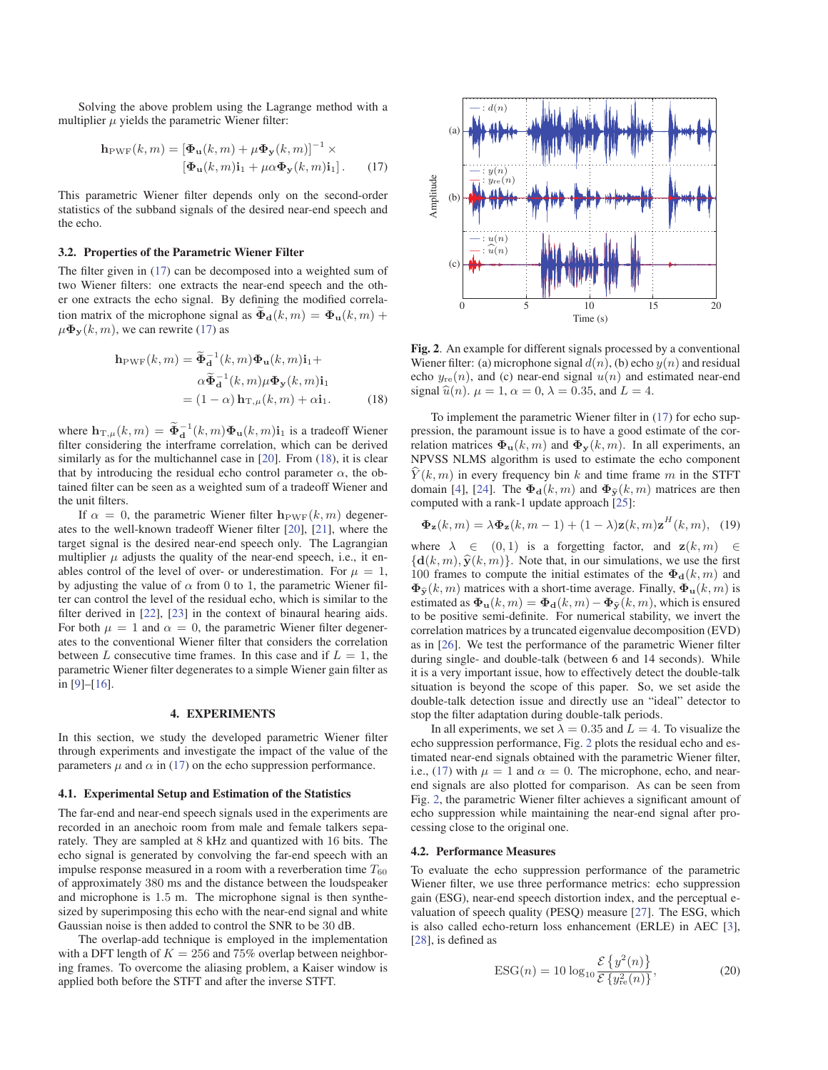Solving the above problem using the Lagrange method with a multiplier  $\mu$  yields the parametric Wiener filter:

$$
\mathbf{h}_{\text{PWF}}(k,m) = [\mathbf{\Phi}_{\mathbf{u}}(k,m) + \mu \mathbf{\Phi}_{\mathbf{y}}(k,m)]^{-1} \times
$$

$$
[\mathbf{\Phi}_{\mathbf{u}}(k,m)\mathbf{i}_1 + \mu \alpha \mathbf{\Phi}_{\mathbf{y}}(k,m)\mathbf{i}_1].
$$
 (17)

This parametric Wiener filter depends only on the second-order statistics of the subband signals of the desired near-end speech and the echo.

#### 3.2. Properties of the Parametric Wiener Filter

The filter given in (17) can be decomposed into a weighted sum of two Wiener filters: one extracts the near-end speech and the other one extracts the echo signal. By defining the modified correlation matrix of the microphone signal as  $\tilde{\Phi}_{d}(k,m) = \Phi_{u}(k,m) + \Psi_{d}(\Phi_{d}(k,m))$  we can rewrite (17) as  $\mu \Phi_Y(k,m)$ , we can rewrite (17) as

$$
\mathbf{h}_{\text{PWF}}(k,m) = \widetilde{\Phi}_{\mathbf{d}}^{-1}(k,m)\Phi_{\mathbf{u}}(k,m)\mathbf{i}_{1} + \alpha \widetilde{\Phi}_{\mathbf{d}}^{-1}(k,m)\mu\Phi_{\mathbf{y}}(k,m)\mathbf{i}_{1} = (1-\alpha)\mathbf{h}_{\text{T},\mu}(k,m) + \alpha \mathbf{i}_{1}.
$$
 (18)

where  $\mathbf{h}_{\mathrm{T},\mu}(k,m) = \widetilde{\Phi}_{\mathbf{d}}^{-1}(k,m)\Phi_{\mathbf{u}}(k,m)\mathbf{i}_1$  is a tradeoff Wiener filter considering the interframe correlation, which can be derived filter considering the interframe correlation, which can be derived similarly as for the multichannel case in [20]. From (18), it is clear that by introducing the residual echo control parameter  $\alpha$ , the obtained filter can be seen as a weighted sum of a tradeoff Wiener and the unit filters.

If  $\alpha = 0$ , the parametric Wiener filter  $\mathbf{h}_{PWF}(k,m)$  degenerates to the well-known tradeoff Wiener filter [20], [21], where the target signal is the desired near-end speech only. The Lagrangian multiplier  $\mu$  adjusts the quality of the near-end speech, i.e., it enables control of the level of over- or underestimation. For  $\mu = 1$ , by adjusting the value of  $\alpha$  from 0 to 1, the parametric Wiener filter can control the level of the residual echo, which is similar to the filter derived in [22], [23] in the context of binaural hearing aids. For both  $\mu = 1$  and  $\alpha = 0$ , the parametric Wiener filter degenerates to the conventional Wiener filter that considers the correlation between L consecutive time frames. In this case and if  $L = 1$ , the parametric Wiener filter degenerates to a simple Wiener gain filter as in [9]–[16].

## 4. EXPERIMENTS

In this section, we study the developed parametric Wiener filter through experiments and investigate the impact of the value of the parameters  $\mu$  and  $\alpha$  in (17) on the echo suppression performance.

#### 4.1. Experimental Setup and Estimation of the Statistics

The far-end and near-end speech signals used in the experiments are recorded in an anechoic room from male and female talkers separately. They are sampled at 8 kHz and quantized with 16 bits. The echo signal is generated by convolving the far-end speech with an impulse response measured in a room with a reverberation time  $T_{60}$ of approximately 380 ms and the distance between the loudspeaker and microphone is 1.5 m. The microphone signal is then synthesized by superimposing this echo with the near-end signal and white Gaussian noise is then added to control the SNR to be 30 dB.

The overlap-add technique is employed in the implementation with a DFT length of  $K = 256$  and 75% overlap between neighboring frames. To overcome the aliasing problem, a Kaiser window is applied both before the STFT and after the inverse STFT.



Fig. 2. An example for different signals processed by a conventional Wiener filter: (a) microphone signal  $d(n)$ , (b) echo  $y(n)$  and residual echo  $y_{\text{re}}(n)$ , and (c) near-end signal  $u(n)$  and estimated near-end signal  $\hat{u}(n)$ .  $\mu = 1$ ,  $\alpha = 0$ ,  $\lambda = 0.35$ , and  $L = 4$ .

To implement the parametric Wiener filter in (17) for echo suppression, the paramount issue is to have a good estimate of the correlation matrices  $\Phi_{\mathbf{u}}(k,m)$  and  $\Phi_{\mathbf{y}}(k,m)$ . In all experiments, an NPVSS NLMS algorithm is used to estimate the echo component  $\hat{Y}(k, m)$  in every frequency bin k and time frame m in the STFT<br>domain [4], [24]. The  $\Phi_d(k, m)$  and  $\Phi_{\hat{Y}}(k, m)$  matrices are then<br>computed with a rank-1 undate approach [25]. domain [4], [24]. The  $\Phi_{d}(k,m)$  and  $\Phi_{\hat{v}}(k,m)$  matrices are then computed with a rank-1 update approach [25]:

$$
\mathbf{\Phi}_{\mathbf{z}}(k,m) = \lambda \mathbf{\Phi}_{\mathbf{z}}(k,m-1) + (1-\lambda)\mathbf{z}(k,m)\mathbf{z}^H(k,m), \tag{19}
$$

where  $\lambda \in (0,1)$  is a forgetting factor, and  $z(k,m) \in$  ${\bf d}(k,m), \hat{\bf y}(k,m)$ . Note that, in our simulations, we use the first 100 frames to compute the initial estimates of the  $\Phi_{d}(k, m)$  and  $\Phi_{\tilde{\mathbf{v}}}(k, m)$  matrices with a short-time average. Finally,  $\Phi_{\mathbf{u}}(k, m)$  is  $\Phi_{\hat{\mathbf{v}}}(k,m)$  matrices with a short-time average. Finally,  $\Phi_{\mathbf{u}}(k,m)$  is **EV**<sub>**2**</sub> (k,m) matrices with a short-time average. Finally,  $\Phi_{\mathbf{u}}(k,m)$  is estimated as  $\Phi_{\mathbf{u}}(k,m) = \Phi_{\mathbf{d}}(k,m) - \Phi_{\hat{\mathbf{y}}}(k,m)$ , which is ensured to be positive semi-definite. For numerical stability we invert to be positive semi-definite. For numerical stability, we invert the correlation matrices by a truncated eigenvalue decomposition (EVD) as in [26]. We test the performance of the parametric Wiener filter during single- and double-talk (between 6 and 14 seconds). While it is a very important issue, how to effectively detect the double-talk situation is beyond the scope of this paper. So, we set aside the double-talk detection issue and directly use an "ideal" detector to stop the filter adaptation during double-talk periods.

In all experiments, we set  $\lambda = 0.35$  and  $L = 4$ . To visualize the echo suppression performance, Fig. 2 plots the residual echo and estimated near-end signals obtained with the parametric Wiener filter, i.e., (17) with  $\mu = 1$  and  $\alpha = 0$ . The microphone, echo, and nearend signals are also plotted for comparison. As can be seen from Fig. 2, the parametric Wiener filter achieves a significant amount of echo suppression while maintaining the near-end signal after processing close to the original one.

## 4.2. Performance Measures

To evaluate the echo suppression performance of the parametric Wiener filter, we use three performance metrics: echo suppression gain (ESG), near-end speech distortion index, and the perceptual evaluation of speech quality (PESQ) measure [27]. The ESG, which is also called echo-return loss enhancement (ERLE) in AEC [3], [28], is defined as

$$
\text{ESG}(n) = 10 \log_{10} \frac{\mathcal{E}\left\{y^2(n)\right\}}{\mathcal{E}\left\{y_{\text{re}}^2(n)\right\}},\tag{20}
$$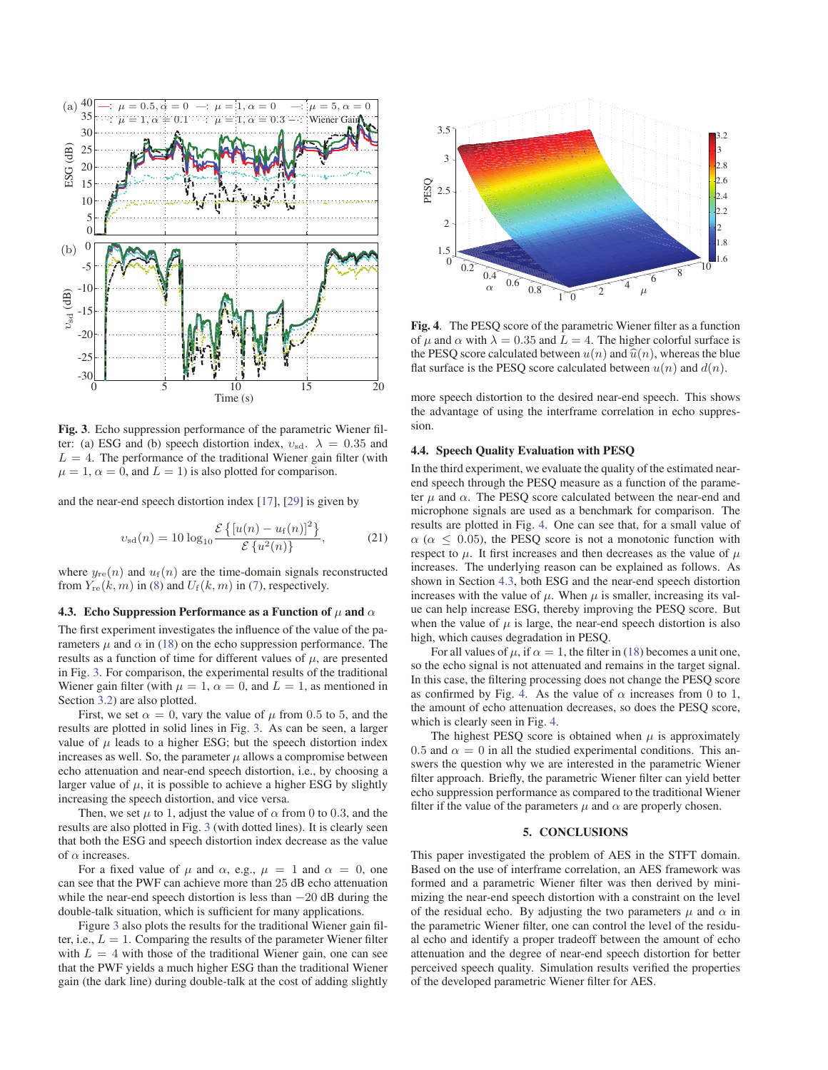

Fig. 3. Echo suppression performance of the parametric Wiener filter: (a) ESG and (b) speech distortion index,  $v_{sd}$ .  $\lambda = 0.35$  and  $L = 4$ . The performance of the traditional Wiener gain filter (with  $\mu = 1$ ,  $\alpha = 0$ , and  $L = 1$ ) is also plotted for comparison.

and the near-end speech distortion index [17], [29] is given by

$$
v_{\rm sd}(n) = 10 \log_{10} \frac{\mathcal{E}\left\{ [u(n) - u_{\rm f}(n)]^2 \right\}}{\mathcal{E}\left\{ u^2(n) \right\}},
$$
 (21)

where  $y_{\text{re}}(n)$  and  $u_{\text{f}}(n)$  are the time-domain signals reconstructed from  $Y_{\text{re}}(k,m)$  in (8) and  $U_{\text{f}}(k,m)$  in (7), respectively.

#### 4.3. Echo Suppression Performance as a Function of  $\mu$  and  $\alpha$

The first experiment investigates the influence of the value of the parameters  $\mu$  and  $\alpha$  in (18) on the echo suppression performance. The results as a function of time for different values of  $\mu$ , are presented in Fig. 3. For comparison, the experimental results of the traditional Wiener gain filter (with  $\mu = 1$ ,  $\alpha = 0$ , and  $L = 1$ , as mentioned in Section 3.2) are also plotted.

First, we set  $\alpha = 0$ , vary the value of  $\mu$  from 0.5 to 5, and the results are plotted in solid lines in Fig. 3. As can be seen, a larger value of  $\mu$  leads to a higher ESG; but the speech distortion index increases as well. So, the parameter  $\mu$  allows a compromise between echo attenuation and near-end speech distortion, i.e., by choosing a larger value of  $\mu$ , it is possible to achieve a higher ESG by slightly increasing the speech distortion, and vice versa.

Then, we set  $\mu$  to 1, adjust the value of  $\alpha$  from 0 to 0.3, and the results are also plotted in Fig. 3 (with dotted lines). It is clearly seen that both the ESG and speech distortion index decrease as the value of  $\alpha$  increases.

For a fixed value of  $\mu$  and  $\alpha$ , e.g.,  $\mu = 1$  and  $\alpha = 0$ , one can see that the PWF can achieve more than 25 dB echo attenuation while the near-end speech distortion is less than  $-20$  dB during the double-talk situation, which is sufficient for many applications.

Figure 3 also plots the results for the traditional Wiener gain filter, i.e.,  $L = 1$ . Comparing the results of the parameter Wiener filter with  $L = 4$  with those of the traditional Wiener gain, one can see that the PWF yields a much higher ESG than the traditional Wiener gain (the dark line) during double-talk at the cost of adding slightly



Fig. 4. The PESQ score of the parametric Wiener filter as a function of  $\mu$  and  $\alpha$  with  $\lambda = 0.35$  and  $L = 4$ . The higher colorful surface is the PESQ score calculated between  $u(n)$  and  $\hat{u}(n)$ , whereas the blue flat surface is the PESQ score calculated between  $u(n)$  and  $d(n)$ .

more speech distortion to the desired near-end speech. This shows the advantage of using the interframe correlation in echo suppression.

#### 4.4. Speech Quality Evaluation with PESQ

In the third experiment, we evaluate the quality of the estimated nearend speech through the PESQ measure as a function of the parameter  $\mu$  and  $\alpha$ . The PESQ score calculated between the near-end and microphone signals are used as a benchmark for comparison. The results are plotted in Fig. 4. One can see that, for a small value of  $\alpha$  ( $\alpha$  < 0.05), the PESQ score is not a monotonic function with respect to  $\mu$ . It first increases and then decreases as the value of  $\mu$ increases. The underlying reason can be explained as follows. As shown in Section 4.3, both ESG and the near-end speech distortion increases with the value of  $\mu$ . When  $\mu$  is smaller, increasing its value can help increase ESG, thereby improving the PESQ score. But when the value of  $\mu$  is large, the near-end speech distortion is also high, which causes degradation in PESQ.

For all values of  $\mu$ , if  $\alpha = 1$ , the filter in (18) becomes a unit one, so the echo signal is not attenuated and remains in the target signal. In this case, the filtering processing does not change the PESQ score as confirmed by Fig. 4. As the value of  $\alpha$  increases from 0 to 1, the amount of echo attenuation decreases, so does the PESQ score, which is clearly seen in Fig. 4.

The highest PESQ score is obtained when  $\mu$  is approximately 0.5 and  $\alpha = 0$  in all the studied experimental conditions. This answers the question why we are interested in the parametric Wiener filter approach. Briefly, the parametric Wiener filter can yield better echo suppression performance as compared to the traditional Wiener filter if the value of the parameters  $\mu$  and  $\alpha$  are properly chosen.

## 5. CONCLUSIONS

This paper investigated the problem of AES in the STFT domain. Based on the use of interframe correlation, an AES framework was formed and a parametric Wiener filter was then derived by minimizing the near-end speech distortion with a constraint on the level of the residual echo. By adjusting the two parameters  $\mu$  and  $\alpha$  in the parametric Wiener filter, one can control the level of the residual echo and identify a proper tradeoff between the amount of echo attenuation and the degree of near-end speech distortion for better perceived speech quality. Simulation results verified the properties of the developed parametric Wiener filter for AES.